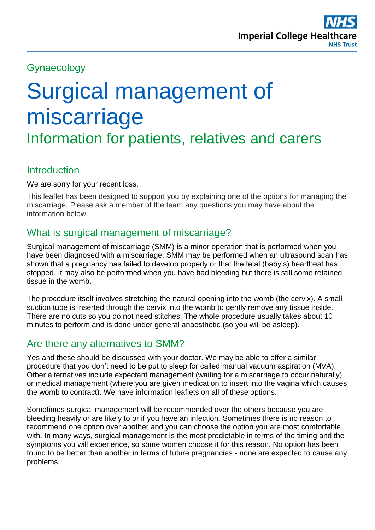

# Gynaecology

# Surgical management of miscarriage

Information for patients, relatives and carers

## **Introduction**

We are sorry for your recent loss.

This leaflet has been designed to support you by explaining one of the options for managing the miscarriage. Please ask a member of the team any questions you may have about the information below.

# What is surgical management of miscarriage?

Surgical management of miscarriage (SMM) is a minor operation that is performed when you have been diagnosed with a miscarriage. SMM may be performed when an ultrasound scan has shown that a pregnancy has failed to develop properly or that the fetal (baby's) heartbeat has stopped. It may also be performed when you have had bleeding but there is still some retained tissue in the womb.

The procedure itself involves stretching the natural opening into the womb (the cervix). A small suction tube is inserted through the cervix into the womb to gently remove any tissue inside. There are no cuts so you do not need stitches. The whole procedure usually takes about 10 minutes to perform and is done under general anaesthetic (so you will be asleep).

## Are there any alternatives to SMM?

Yes and these should be discussed with your doctor. We may be able to offer a similar procedure that you don't need to be put to sleep for called manual vacuum aspiration (MVA). Other alternatives include expectant management (waiting for a miscarriage to occur naturally) or medical management (where you are given medication to insert into the vagina which causes the womb to contract). We have information leaflets on all of these options.

Sometimes surgical management will be recommended over the others because you are bleeding heavily or are likely to or if you have an infection. Sometimes there is no reason to recommend one option over another and you can choose the option you are most comfortable with. In many ways, surgical management is the most predictable in terms of the timing and the symptoms you will experience, so some women choose it for this reason. No option has been found to be better than another in terms of future pregnancies - none are expected to cause any problems.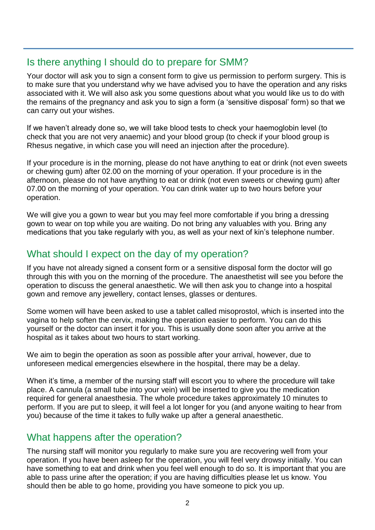## Is there anything I should do to prepare for SMM?

Your doctor will ask you to sign a consent form to give us permission to perform surgery. This is to make sure that you understand why we have advised you to have the operation and any risks associated with it. We will also ask you some questions about what you would like us to do with the remains of the pregnancy and ask you to sign a form (a 'sensitive disposal' form) so that we can carry out your wishes.

If we haven't already done so, we will take blood tests to check your haemoglobin level (to check that you are not very anaemic) and your blood group (to check if your blood group is Rhesus negative, in which case you will need an injection after the procedure).

If your procedure is in the morning, please do not have anything to eat or drink (not even sweets or chewing gum) after 02.00 on the morning of your operation. If your procedure is in the afternoon, please do not have anything to eat or drink (not even sweets or chewing gum) after 07.00 on the morning of your operation. You can drink water up to two hours before your operation.

We will give you a gown to wear but you may feel more comfortable if you bring a dressing gown to wear on top while you are waiting. Do not bring any valuables with you. Bring any medications that you take regularly with you, as well as your next of kin's telephone number.

# What should I expect on the day of my operation?

If you have not already signed a consent form or a sensitive disposal form the doctor will go through this with you on the morning of the procedure. The anaesthetist will see you before the operation to discuss the general anaesthetic. We will then ask you to change into a hospital gown and remove any jewellery, contact lenses, glasses or dentures.

Some women will have been asked to use a tablet called misoprostol, which is inserted into the vagina to help soften the cervix, making the operation easier to perform. You can do this yourself or the doctor can insert it for you. This is usually done soon after you arrive at the hospital as it takes about two hours to start working.

We aim to begin the operation as soon as possible after your arrival, however, due to unforeseen medical emergencies elsewhere in the hospital, there may be a delay.

When it's time, a member of the nursing staff will escort you to where the procedure will take place. A cannula (a small tube into your vein) will be inserted to give you the medication required for general anaesthesia. The whole procedure takes approximately 10 minutes to perform. If you are put to sleep, it will feel a lot longer for you (and anyone waiting to hear from you) because of the time it takes to fully wake up after a general anaesthetic.

## What happens after the operation?

The nursing staff will monitor you regularly to make sure you are recovering well from your operation. If you have been asleep for the operation, you will feel very drowsy initially. You can have something to eat and drink when you feel well enough to do so. It is important that you are able to pass urine after the operation; if you are having difficulties please let us know. You should then be able to go home, providing you have someone to pick you up.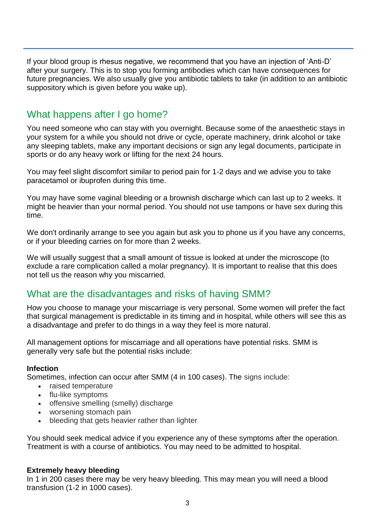If your blood group is rhesus negative, we recommend that you have an injection of 'Anti-D' after your surgery. This is to stop you forming antibodies which can have consequences for future pregnancies. We also usually give you antibiotic tablets to take (in addition to an antibiotic suppository which is given before you wake up).

## What happens after I go home?

You need someone who can stay with you overnight. Because some of the anaesthetic stays in your system for a while you should not drive or cycle, operate machinery, drink alcohol or take any sleeping tablets, make any important decisions or sign any legal documents, participate in sports or do any heavy work or lifting for the next 24 hours.

You may feel slight discomfort similar to period pain for 1-2 days and we advise you to take paracetamol or ibuprofen during this time.

You may have some vaginal bleeding or a brownish discharge which can last up to 2 weeks. It might be heavier than your normal period. You should not use tampons or have sex during this time.

We don't ordinarily arrange to see you again but ask you to phone us if you have any concerns, or if your bleeding carries on for more than 2 weeks.

We will usually suggest that a small amount of tissue is looked at under the microscope (to exclude a rare complication called a molar pregnancy). It is important to realise that this does not tell us the reason why you miscarried.

# What are the disadvantages and risks of having SMM?

How you choose to manage your miscarriage is very personal. Some women will prefer the fact that surgical management is predictable in its timing and in hospital, while others will see this as a disadvantage and prefer to do things in a way they feel is more natural.

All management options for miscarriage and all operations have potential risks. SMM is generally very safe but the potential risks include:

#### **Infection**

Sometimes, infection can occur after SMM (4 in 100 cases). The signs include:

- raised temperature
- flu-like symptoms
- offensive smelling (smelly) discharge
- worsening stomach pain
- bleeding that gets heavier rather than lighter

You should seek medical advice if you experience any of these symptoms after the operation. Treatment is with a course of antibiotics. You may need to be admitted to hospital.

#### **Extremely heavy bleeding**

In 1 in 200 cases there may be very heavy bleeding. This may mean you will need a blood transfusion (1-2 in 1000 cases).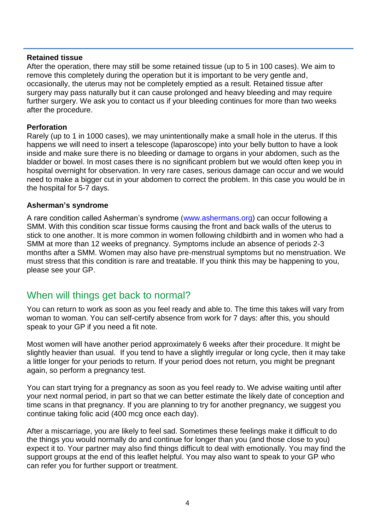#### **Retained tissue**

After the operation, there may still be some retained tissue (up to 5 in 100 cases). We aim to remove this completely during the operation but it is important to be very gentle and, occasionally, the uterus may not be completely emptied as a result. Retained tissue after surgery may pass naturally but it can cause prolonged and heavy bleeding and may require further surgery. We ask you to contact us if your bleeding continues for more than two weeks after the procedure.

#### **Perforation**

Rarely (up to 1 in 1000 cases), we may unintentionally make a small hole in the uterus. If this happens we will need to insert a telescope (laparoscope) into your belly button to have a look inside and make sure there is no bleeding or damage to organs in your abdomen, such as the bladder or bowel. In most cases there is no significant problem but we would often keep you in hospital overnight for observation. In very rare cases, serious damage can occur and we would need to make a bigger cut in your abdomen to correct the problem. In this case you would be in the hospital for 5-7 days.

#### **Asherman's syndrome**

A rare condition called Asherman's syndrome [\(www.ashermans.org\)](http://www.ashermans.org/) can occur following a SMM. With this condition scar tissue forms causing the front and back walls of the uterus to stick to one another. It is more common in women following childbirth and in women who had a SMM at more than 12 weeks of pregnancy. Symptoms include an absence of periods 2-3 months after a SMM. Women may also have pre-menstrual symptoms but no menstruation. We must stress that this condition is rare and treatable. If you think this may be happening to you, please see your GP.

## When will things get back to normal?

You can return to work as soon as you feel ready and able to. The time this takes will vary from woman to woman. You can self-certify absence from work for 7 days: after this, you should speak to your GP if you need a fit note.

Most women will have another period approximately 6 weeks after their procedure. It might be slightly heavier than usual. If you tend to have a slightly irregular or long cycle, then it may take a little longer for your periods to return. If your period does not return, you might be pregnant again, so perform a pregnancy test.

You can start trying for a pregnancy as soon as you feel ready to. We advise waiting until after your next normal period, in part so that we can better estimate the likely date of conception and time scans in that pregnancy. If you are planning to try for another pregnancy, we suggest you continue taking folic acid (400 mcg once each day).

After a miscarriage, you are likely to feel sad. Sometimes these feelings make it difficult to do the things you would normally do and continue for longer than you (and those close to you) expect it to. Your partner may also find things difficult to deal with emotionally. You may find the support groups at the end of this leaflet helpful. You may also want to speak to your GP who can refer you for further support or treatment.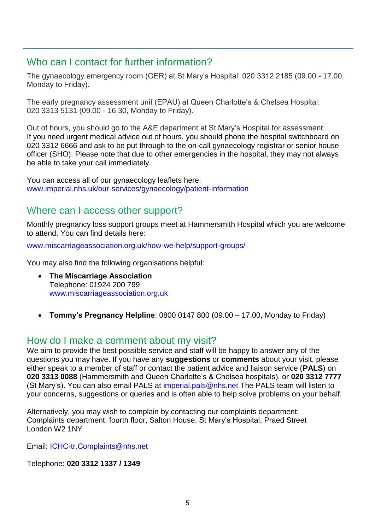## Who can I contact for further information?

The gynaecology emergency room (GER) at St Mary's Hospital: 020 3312 2185 (09.00 - 17.00, Monday to Friday).

The early pregnancy assessment unit (EPAU) at Queen Charlotte's & Chelsea Hospital: 020 3313 5131 (09.00 - 16.30, Monday to Friday).

Out of hours, you should go to the A&E department at St Mary's Hospital for assessment. If you need urgent medical advice out of hours, you should phone the hospital switchboard on 020 3312 6666 and ask to be put through to the on-call gynaecology registrar or senior house officer (SHO). Please note that due to other emergencies in the hospital, they may not always be able to take your call immediately.

You can access all of our gynaecology leaflets here: [www.imperial.nhs.uk/our-services/gynaecology/patient-information](http://www.imperial.nhs.uk/our-services/gynaecology/patient-information)

## Where can I access other support?

Monthly pregnancy loss support groups meet at Hammersmith Hospital which you are welcome to attend. You can find details here:

[www.miscarriageassociation.org.uk/how-we-help/support-groups/](http://www.miscarriageassociation.org.uk/how-we-help/support-groups/)

You may also find the following organisations helpful:

- **The Miscarriage Association** Telephone: 01924 200 799 [www.miscarriageassociation.org.uk](https://www.miscarriageassociation.org.uk/)
- **Tommy's Pregnancy Helpline**: 0800 0147 800 (09.00 17.00, Monday to Friday)

## How do I make a comment about my visit?

We aim to provide the best possible service and staff will be happy to answer any of the questions you may have. If you have any **suggestions** or **comments** about your visit, please either speak to a member of staff or contact the patient advice and liaison service (**PALS**) on **020 3313 0088** (Hammersmith and Queen Charlotte's & Chelsea hospitals), or **020 3312 7777** (St Mary's). You can also email PALS at [imperial.pals@nhs.net](mailto:imperial.pals@nhs.net) The PALS team will listen to your concerns, suggestions or queries and is often able to help solve problems on your behalf.

Alternatively, you may wish to complain by contacting our complaints department: Complaints department, fourth floor, Salton House, St Mary's Hospital, Praed Street London W2 1NY

Email: [ICHC-tr.Complaints@nhs.net](mailto:ICHC-tr.Complaints@nhs.net)

Telephone: **020 3312 1337 / 1349**